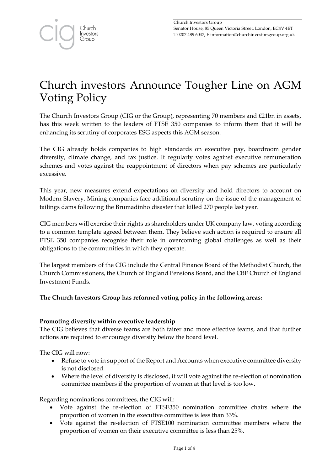# Church investors Announce Tougher Line on AGM Voting Policy

The Church Investors Group (CIG or the Group), representing 70 members and £21bn in assets, has this week written to the leaders of FTSE 350 companies to inform them that it will be enhancing its scrutiny of corporates ESG aspects this AGM season.

The CIG already holds companies to high standards on executive pay, boardroom gender diversity, climate change, and tax justice. It regularly votes against executive remuneration schemes and votes against the reappointment of directors when pay schemes are particularly excessive.

This year, new measures extend expectations on diversity and hold directors to account on Modern Slavery. Mining companies face additional scrutiny on the issue of the management of tailings dams following the Brumadinho disaster that killed 270 people last year.

CIG members will exercise their rights as shareholders under UK company law, voting according to a common template agreed between them. They believe such action is required to ensure all FTSE 350 companies recognise their role in overcoming global challenges as well as their obligations to the communities in which they operate.

The largest members of the CIG include the Central Finance Board of the Methodist Church, the Church Commissioners, the Church of England Pensions Board, and the CBF Church of England Investment Funds.

# **The Church Investors Group has reformed voting policy in the following areas:**

# **Promoting diversity within executive leadership**

The CIG believes that diverse teams are both fairer and more effective teams, and that further actions are required to encourage diversity below the board level.

The CIG will now:

- Refuse to vote in support of the Report and Accounts when executive committee diversity is not disclosed.
- Where the level of diversity is disclosed, it will vote against the re-election of nomination committee members if the proportion of women at that level is too low.

Regarding nominations committees, the CIG will:

- Vote against the re-election of FTSE350 nomination committee chairs where the proportion of women in the executive committee is less than 33%.
- Vote against the re-election of FTSE100 nomination committee members where the proportion of women on their executive committee is less than 25%.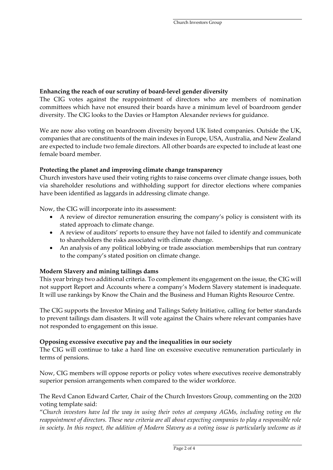# **Enhancing the reach of our scrutiny of board-level gender diversity**

The CIG votes against the reappointment of directors who are members of nomination committees which have not ensured their boards have a minimum level of boardroom gender diversity. The CIG looks to the Davies or Hampton Alexander reviews for guidance.

We are now also voting on boardroom diversity beyond UK listed companies. Outside the UK, companies that are constituents of the main indexes in Europe, USA, Australia, and New Zealand are expected to include two female directors. All other boards are expected to include at least one female board member.

## **Protecting the planet and improving climate change transparency**

Church investors have used their voting rights to raise concerns over climate change issues, both via shareholder resolutions and withholding support for director elections where companies have been identified as laggards in addressing climate change.

Now, the CIG will incorporate into its assessment:

- A review of director remuneration ensuring the company's policy is consistent with its stated approach to climate change.
- A review of auditors' reports to ensure they have not failed to identify and communicate to shareholders the risks associated with climate change.
- An analysis of any political lobbying or trade association memberships that run contrary to the company's stated position on climate change.

# **Modern Slavery and mining tailings dams**

This year brings two additional criteria. To complement its engagement on the issue, the CIG will not support Report and Accounts where a company's Modern Slavery statement is inadequate. It will use rankings by Know the Chain and the Business and Human Rights Resource Centre.

The CIG supports the Investor Mining and Tailings Safety Initiative, calling for better standards to prevent tailings dam disasters. It will vote against the Chairs where relevant companies have not responded to engagement on this issue.

### **Opposing excessive executive pay and the inequalities in our society**

The CIG will continue to take a hard line on excessive executive remuneration particularly in terms of pensions.

Now, CIG members will oppose reports or policy votes where executives receive demonstrably superior pension arrangements when compared to the wider workforce.

## The Revd Canon Edward Carter, Chair of the Church Investors Group, commenting on the 2020 voting template said:

"*Church investors have led the way in using their votes at company AGMs, including voting on the reappointment of directors. These new criteria are all about expecting companies to play a responsible role in society*. *In this respect, the addition of Modern Slavery as a voting issue is particularly welcome as it*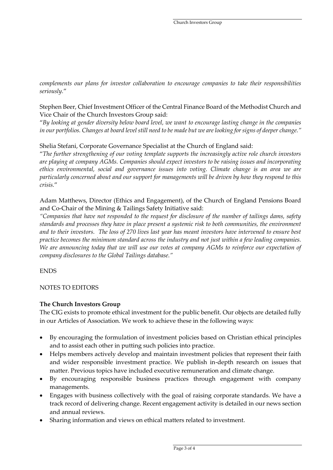*complements our plans for investor collaboration to encourage companies to take their responsibilities seriously.*"

## Stephen Beer, Chief Investment Officer of the Central Finance Board of the Methodist Church and Vice Chair of the Church Investors Group said:

"*By looking at gender diversity below board level, we want to encourage lasting change in the companies in our portfolios. Changes at board level still need to be made but we are looking for signs of deeper change."*

# Shelia Stefani, Corporate Governance Specialist at the Church of England said:

"*The further strengthening of our voting template supports the increasingly active role church investors are playing at company AGMs. Companies should expect investors to be raising issues and incorporating ethics environmental, social and governance issues into voting. Climate change is an area we are particularly concerned about and our support for managements will be driven by how they respond to this crisis.*"

# Adam Matthews, Director (Ethics and Engagement), of the Church of England Pensions Board and Co-Chair of the Mining & Tailings Safety Initiative said:

*"Companies that have not responded to the request for disclosure of the number of tailings dams, safety standards and processes they have in place present a systemic risk to both communities, the environment and to their investors. The loss of 270 lives last year has meant investors have intervened to ensure best practice becomes the minimum standard across the industry and not just within a few leading companies. We are announcing today that we will use our votes at company AGMs to reinforce our expectation of company disclosures to the Global Tailings database."*

### ENDS

### NOTES TO EDITORS

### **The Church Investors Group**

The CIG exists to promote ethical investment for the public benefit. Our objects are detailed fully in our Articles of Association. We work to achieve these in the following ways:

- By encouraging the formulation of investment policies based on Christian ethical principles and to assist each other in putting such policies into practice.
- Helps members actively develop and maintain investment policies that represent their faith and wider responsible investment practice. We publish in-depth research on issues that matter. Previous topics have included executive remuneration and climate change.
- By encouraging responsible business practices through engagement with company managements.
- Engages with business collectively with the goal of raising corporate standards. We have a track record of delivering change. Recent engagement activity is detailed in our news section and annual reviews.
- Sharing information and views on ethical matters related to investment.